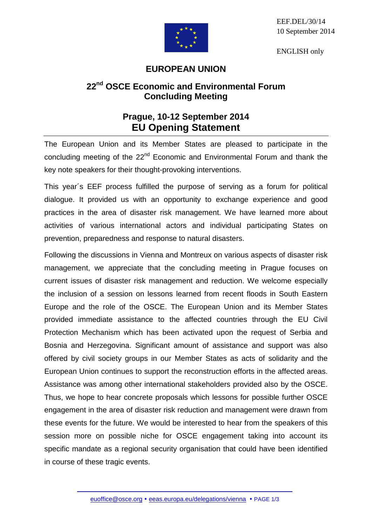EEF.DEL/30/14 10 September 2014

ENGLISH only



## **EUROPEAN UNION**

## **22nd OSCE Economic and Environmental Forum Concluding Meeting**

## **Prague, 10-12 September 2014 EU Opening Statement**

The European Union and its Member States are pleased to participate in the concluding meeting of the 22<sup>nd</sup> Economic and Environmental Forum and thank the key note speakers for their thought-provoking interventions.

This year´s EEF process fulfilled the purpose of serving as a forum for political dialogue. It provided us with an opportunity to exchange experience and good practices in the area of disaster risk management. We have learned more about activities of various international actors and individual participating States on prevention, preparedness and response to natural disasters.

Following the discussions in Vienna and Montreux on various aspects of disaster risk management, we appreciate that the concluding meeting in Prague focuses on current issues of disaster risk management and reduction. We welcome especially the inclusion of a session on lessons learned from recent floods in South Eastern Europe and the role of the OSCE. The European Union and its Member States provided immediate assistance to the affected countries through the EU Civil Protection Mechanism which has been activated upon the request of Serbia and Bosnia and Herzegovina. Significant amount of assistance and support was also offered by civil society groups in our Member States as acts of solidarity and the European Union continues to support the reconstruction efforts in the affected areas. Assistance was among other international stakeholders provided also by the OSCE. Thus, we hope to hear concrete proposals which lessons for possible further OSCE engagement in the area of disaster risk reduction and management were drawn from these events for the future. We would be interested to hear from the speakers of this session more on possible niche for OSCE engagement taking into account its specific mandate as a regional security organisation that could have been identified in course of these tragic events.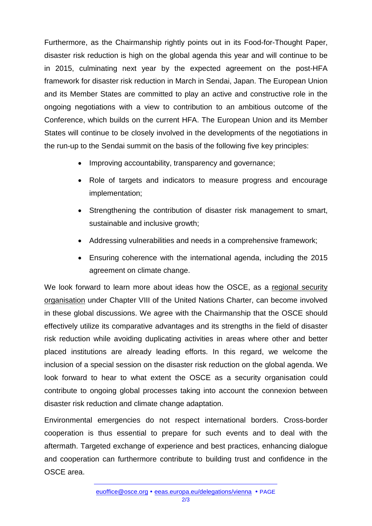Furthermore, as the Chairmanship rightly points out in its Food-for-Thought Paper, disaster risk reduction is high on the global agenda this year and will continue to be in 2015, culminating next year by the expected agreement on the post-HFA framework for disaster risk reduction in March in Sendai, Japan. The European Union and its Member States are committed to play an active and constructive role in the ongoing negotiations with a view to contribution to an ambitious outcome of the Conference, which builds on the current HFA. The European Union and its Member States will continue to be closely involved in the developments of the negotiations in the run-up to the Sendai summit on the basis of the following five key principles:

- Improving accountability, transparency and governance;
- Role of targets and indicators to measure progress and encourage implementation;
- Strengthening the contribution of disaster risk management to smart, sustainable and inclusive growth;
- Addressing vulnerabilities and needs in a comprehensive framework;
- Ensuring coherence with the international agenda, including the 2015 agreement on climate change.

We look forward to learn more about ideas how the OSCE, as a regional security organisation under Chapter VIII of the United Nations Charter, can become involved in these global discussions. We agree with the Chairmanship that the OSCE should effectively utilize its comparative advantages and its strengths in the field of disaster risk reduction while avoiding duplicating activities in areas where other and better placed institutions are already leading efforts. In this regard, we welcome the inclusion of a special session on the disaster risk reduction on the global agenda. We look forward to hear to what extent the OSCE as a security organisation could contribute to ongoing global processes taking into account the connexion between disaster risk reduction and climate change adaptation.

Environmental emergencies do not respect international borders. Cross-border cooperation is thus essential to prepare for such events and to deal with the aftermath. Targeted exchange of experience and best practices, enhancing dialogue and cooperation can furthermore contribute to building trust and confidence in the OSCE area.